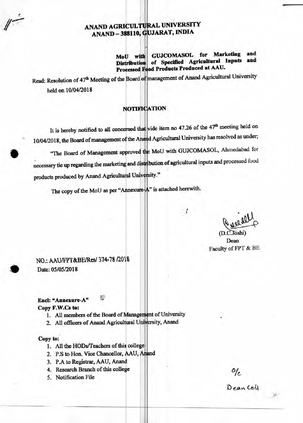# **ANAND AGRICUL UNIVERSITY ANAND — 388110, JARAT, INDIA**

**MoU** with **Distribution Processed od Products Produced at AAU. GUJCOMASOL for Marketing and of Specified Agricultural Inputs and** 

Read: Resolution of 47<sup>th</sup> Meeting of the Board of management of Anand Agricultural University held on 10/04/2018

## **NOTIFICATION**

It is hereby notified to all concerned that vide item no 47.26 of the 47<sup>th</sup> meeting held on 10/04/2018, the Board of management of the Anand Agricultural University has resolved as under;

"The Board of Management approved MoU with GUJCOMASOL, Ahmedabad for necessary tie up regarding the marketing and distribution of agricultural inputs and processed food products produced by Anand Agricultural University."

The copy of the MoU as per "Annexure-A" is attached herewith.

 $e^{\mu\nu}$ 

 $(D.C.Joshi)$ Dean Faculty of FPT & BE

NO.: AAU/FPT&BE/Res/ 374-78 /2018 Date: 05/05/2018

## **End: "Annexure-A"**

#### **Copy F.W.Cs to:**

- 1. All members of the Board of Management of University
- 2. All officers of Anand Agricultural University, Anand

#### **Copy to:**

•

- **1. All the HODs/Teachers of this college**
- **2. P.S to Hon. Vice Chancellor, AAU,**
- **3. P.A to Registrar, AAU, Anand**
- **4. Research Branch of this college**
- **5. Notification File**

o/c<br>Deancell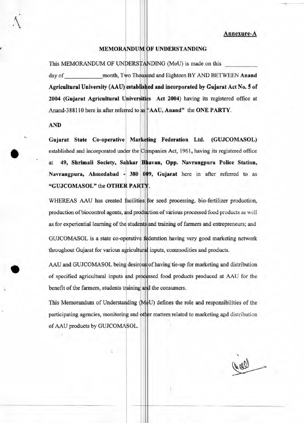**Annexure-A** 

### **MEMORANDUM F UNDERSTANDING**

This MEMORANDUM OF UNDERSTANDING (MoU) is made on this day of \_\_\_\_\_\_\_\_\_\_\_\_\_\_\_month, Two Thousand and Eighteen BY AND BETWEEN **Anand** Agricultural University (AAU) established and incorporated by Gujarat Act No. 5 of 2004 (Gujarat Agricultural Universities Act 2004) having its registered office at Anand-388110 here in after referred to as "AAU, Anand" the ONE PARTY.

**AND** 

Gujarat State Co-operative Marketing Federation Ltd. (GUJCOMASOL) established and incorporated under the Companies Act, 1961, having its registered office at 49, Shrimali Society, Sahkar Bhavan, Opp. Navrangpura Police Station, **Navrangpura, Ahmedabad - 380 9, Gujarat** here in after referred to as "GUJCOMASOL" the OTHER PARTY.

WHEREAS AAU has created facilities for seed processing, bio-fertilizer production, production of biocontrol agents, and production of various processed food products as well as for experiential learning of the students and training of farmers and entrepreneurs; and GUJCOMASOL is a state co-operative deration having very good marketing network throughout Gujarat for various agricultural inputs, commodities and products.

AAU and GUJCOMASOL being desirous of having tie-up for marketing and distribution of specified agricultural inputs and processed food products produced at AAU for the benefit of the farmers, students training and the consumers.

This Memorandum of Understanding (MoU) defines the role and responsibilities of the participating agencies, monitoring and other matters related to marketing and distribution of AAU products by GUJCOMASOL.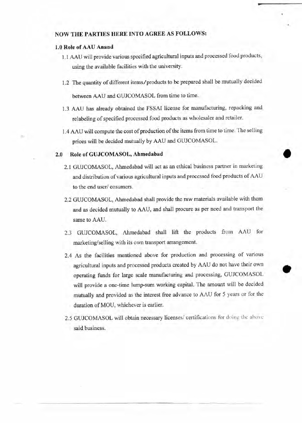## **NOW THE PARTIES HERE INTO AGREE AS FOLLOWS:**

## **1.0 Role of AAU Anand**

**1.1** AAU will provide various specified agricultural inputs and processed food products, using the available facilities with the university.

11.

- 1.2 The quantity of different items/products to be prepared shall be mutually decided between AAU and GUJCOMASOL from time to time.
- 1.3 AAU has already obtained the FSSAI license for manufacturing, repacking and relabeling of specified processed food products as wholesaler and retailer.
- 1.4 AAU will compute the cost of production of the items from time to time. The selling prices will be decided mutually by AAU and GUJCOMASOL.

### **2.0 Role of GUJCOMASOL, Ahmedabad**

- 2.1 GUJCOMASOL, Ahmedabad will act as an ethical business partner in marketing and distribution of various agricultural inputs and processed food products of AAU to the end user/ cosumers.
- 2.2 GUJCOMASOL, Ahmedabad shall provide the raw materials available with them and as decided mutually to AAU, and shall procure as per need and transport the same to AAU.
- 2.3 GUJCOMASOL, Ahmedabad shall lift the products from AAU for marketing/selling with its own transport arrangement.
- 2.4 As the facilities mentioned above for production and processing of various agricultural inputs and processed products created by AAU do not have their own operating funds for large scale manufacturing and processing, GUJCOMASOL will provide a one-time lump-sum working capital. The amount will be decided mutually and provided as the interest free advance to AAU for 5 years or for the duration of MOU, whichever is earlier.
- 2.5 GUJCOMASOL will obtain necessary licenses/ certifications for doing the above said business.